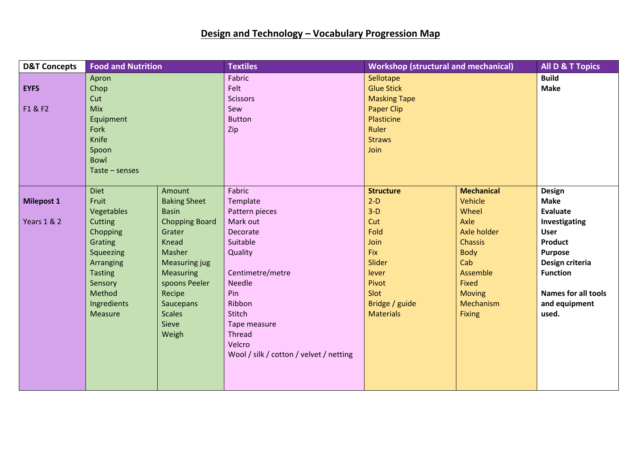## **Design and Technology – Vocabulary Progression Map**

| <b>D&amp;T Concepts</b> | <b>Food and Nutrition</b> |                       | <b>Textiles</b>                         | <b>Workshop (structural and mechanical)</b> |                               | <b>All D &amp; T Topics</b>   |
|-------------------------|---------------------------|-----------------------|-----------------------------------------|---------------------------------------------|-------------------------------|-------------------------------|
|                         | Apron                     |                       | Fabric                                  | Sellotape                                   |                               | <b>Build</b>                  |
| <b>EYFS</b>             | Chop<br>Cut               |                       | Felt                                    | <b>Glue Stick</b>                           |                               | <b>Make</b>                   |
|                         |                           |                       | <b>Scissors</b>                         | <b>Masking Tape</b>                         |                               |                               |
| F1 & F2                 | <b>Mix</b>                |                       | Sew                                     | <b>Paper Clip</b>                           |                               |                               |
|                         | Equipment                 |                       | <b>Button</b>                           | Plasticine                                  |                               |                               |
|                         | Fork                      |                       | Zip                                     | Ruler                                       |                               |                               |
|                         | Knife                     |                       |                                         | <b>Straws</b>                               |                               |                               |
|                         | Spoon                     |                       |                                         | Join                                        |                               |                               |
|                         | Bowl                      |                       |                                         |                                             |                               |                               |
|                         | Taste – senses            |                       |                                         |                                             |                               |                               |
|                         |                           |                       |                                         |                                             |                               |                               |
|                         | <b>Diet</b>               | Amount                | Fabric                                  | <b>Structure</b>                            | <b>Mechanical</b>             | <b>Design</b>                 |
| <b>Milepost 1</b>       | Fruit                     | <b>Baking Sheet</b>   | Template                                | $2-D$                                       | Vehicle                       | <b>Make</b>                   |
|                         | Vegetables                | <b>Basin</b>          | Pattern pieces<br>Mark out              | $3-D$                                       | Wheel<br>Axle                 | Evaluate                      |
| <b>Years 1 &amp; 2</b>  | Cutting                   | <b>Chopping Board</b> |                                         | Cut                                         |                               | Investigating                 |
|                         | Chopping                  | Grater<br>Knead       | Decorate<br>Suitable                    | Fold                                        | Axle holder<br><b>Chassis</b> | <b>User</b><br><b>Product</b> |
|                         | Grating<br>Squeezing      | Masher                | Quality                                 | Join<br><b>Fix</b>                          | <b>Body</b>                   | <b>Purpose</b>                |
|                         | Arranging                 | <b>Measuring jug</b>  |                                         | Slider                                      | Cab                           | Design criteria               |
|                         | <b>Tasting</b>            | <b>Measuring</b>      | Centimetre/metre                        | lever                                       | Assemble                      | <b>Function</b>               |
|                         | Sensory                   | spoons Peeler         | <b>Needle</b>                           | Pivot                                       | <b>Fixed</b>                  |                               |
|                         | Method                    | Recipe                | Pin                                     | Slot                                        | <b>Moving</b>                 | <b>Names for all tools</b>    |
|                         | Ingredients               | <b>Saucepans</b>      | Ribbon                                  | Bridge / guide                              | Mechanism                     | and equipment                 |
|                         | Measure                   | <b>Scales</b>         | Stitch                                  | <b>Materials</b>                            | <b>Fixing</b>                 | used.                         |
|                         |                           | Sieve                 | Tape measure                            |                                             |                               |                               |
|                         |                           | Weigh                 | <b>Thread</b>                           |                                             |                               |                               |
|                         |                           |                       | Velcro                                  |                                             |                               |                               |
|                         |                           |                       | Wool / silk / cotton / velvet / netting |                                             |                               |                               |
|                         |                           |                       |                                         |                                             |                               |                               |
|                         |                           |                       |                                         |                                             |                               |                               |
|                         |                           |                       |                                         |                                             |                               |                               |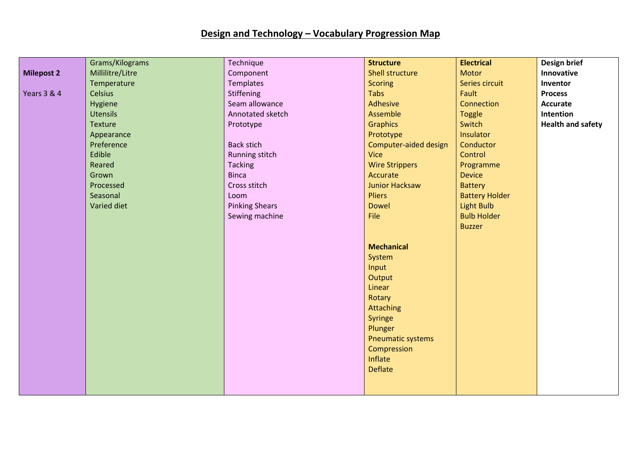## **Design and Technology – Vocabulary Progression Map**

|                   | Grams/Kilograms  | Technique             | <b>Structure</b>         | <b>Electrical</b>     | Design brief             |
|-------------------|------------------|-----------------------|--------------------------|-----------------------|--------------------------|
| <b>Milepost 2</b> | Millilitre/Litre | Component             | <b>Shell structure</b>   | <b>Motor</b>          | Innovative               |
|                   | Temperature      | <b>Templates</b>      | <b>Scoring</b>           | Series circuit        | Inventor                 |
| Years 3 & 4       | <b>Celsius</b>   | <b>Stiffening</b>     | Tabs                     | Fault                 | <b>Process</b>           |
|                   | Hygiene          | Seam allowance        | Adhesive                 | Connection            | <b>Accurate</b>          |
|                   | <b>Utensils</b>  | Annotated sketch      | Assemble                 | <b>Toggle</b>         | Intention                |
|                   | Texture          | Prototype             | <b>Graphics</b>          | Switch                | <b>Health and safety</b> |
|                   | Appearance       |                       | Prototype                | Insulator             |                          |
|                   | Preference       | <b>Back stich</b>     | Computer-aided design    | Conductor             |                          |
|                   | Edible           | Running stitch        | <b>Vice</b>              | Control               |                          |
|                   | Reared           | <b>Tacking</b>        | <b>Wire Strippers</b>    | Programme             |                          |
|                   | Grown            | <b>Binca</b>          | Accurate                 | <b>Device</b>         |                          |
|                   | Processed        | Cross stitch          | <b>Junior Hacksaw</b>    | <b>Battery</b>        |                          |
|                   | Seasonal         | Loom                  | <b>Pliers</b>            | <b>Battery Holder</b> |                          |
|                   | Varied diet      | <b>Pinking Shears</b> | <b>Dowel</b>             | <b>Light Bulb</b>     |                          |
|                   |                  | Sewing machine        | File                     | <b>Bulb Holder</b>    |                          |
|                   |                  |                       |                          | <b>Buzzer</b>         |                          |
|                   |                  |                       |                          |                       |                          |
|                   |                  |                       | <b>Mechanical</b>        |                       |                          |
|                   |                  |                       | System                   |                       |                          |
|                   |                  |                       | Input                    |                       |                          |
|                   |                  |                       | Output                   |                       |                          |
|                   |                  |                       | Linear                   |                       |                          |
|                   |                  |                       | Rotary                   |                       |                          |
|                   |                  |                       | Attaching                |                       |                          |
|                   |                  |                       | Syringe                  |                       |                          |
|                   |                  |                       | Plunger                  |                       |                          |
|                   |                  |                       | <b>Pneumatic systems</b> |                       |                          |
|                   |                  |                       | Compression              |                       |                          |
|                   |                  |                       | Inflate                  |                       |                          |
|                   |                  |                       | <b>Deflate</b>           |                       |                          |
|                   |                  |                       |                          |                       |                          |
|                   |                  |                       |                          |                       |                          |